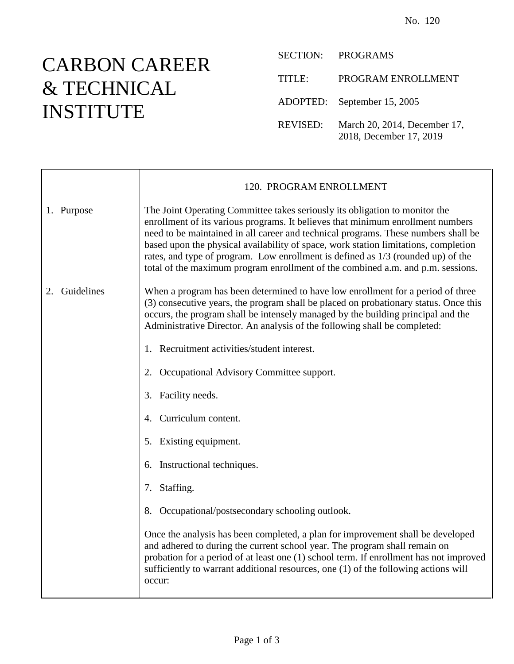## CARBON CAREER & TECHNICAL INSTITUTE

SECTION: PROGRAMS TITLE: PROGRAM ENROLLMENT ADOPTED: September 15, 2005 REVISED: March 20, 2014, December 17, 2018, December 17, 2019

|                  | 120. PROGRAM ENROLLMENT                                                                                                                                                                                                                                                                                                                                                                                                                                                                                            |
|------------------|--------------------------------------------------------------------------------------------------------------------------------------------------------------------------------------------------------------------------------------------------------------------------------------------------------------------------------------------------------------------------------------------------------------------------------------------------------------------------------------------------------------------|
| 1. Purpose       | The Joint Operating Committee takes seriously its obligation to monitor the<br>enrollment of its various programs. It believes that minimum enrollment numbers<br>need to be maintained in all career and technical programs. These numbers shall be<br>based upon the physical availability of space, work station limitations, completion<br>rates, and type of program. Low enrollment is defined as 1/3 (rounded up) of the<br>total of the maximum program enrollment of the combined a.m. and p.m. sessions. |
| Guidelines<br>2. | When a program has been determined to have low enrollment for a period of three<br>(3) consecutive years, the program shall be placed on probationary status. Once this<br>occurs, the program shall be intensely managed by the building principal and the<br>Administrative Director. An analysis of the following shall be completed:                                                                                                                                                                           |
|                  | 1. Recruitment activities/student interest.                                                                                                                                                                                                                                                                                                                                                                                                                                                                        |
|                  | Occupational Advisory Committee support.<br>2.                                                                                                                                                                                                                                                                                                                                                                                                                                                                     |
|                  | Facility needs.<br>3.                                                                                                                                                                                                                                                                                                                                                                                                                                                                                              |
|                  | Curriculum content.<br>4.                                                                                                                                                                                                                                                                                                                                                                                                                                                                                          |
|                  | 5. Existing equipment.                                                                                                                                                                                                                                                                                                                                                                                                                                                                                             |
|                  | 6. Instructional techniques.                                                                                                                                                                                                                                                                                                                                                                                                                                                                                       |
|                  | Staffing.<br>7.                                                                                                                                                                                                                                                                                                                                                                                                                                                                                                    |
|                  | 8. Occupational/postsecondary schooling outlook.                                                                                                                                                                                                                                                                                                                                                                                                                                                                   |
|                  | Once the analysis has been completed, a plan for improvement shall be developed<br>and adhered to during the current school year. The program shall remain on<br>probation for a period of at least one (1) school term. If enrollment has not improved<br>sufficiently to warrant additional resources, one (1) of the following actions will<br>occur:                                                                                                                                                           |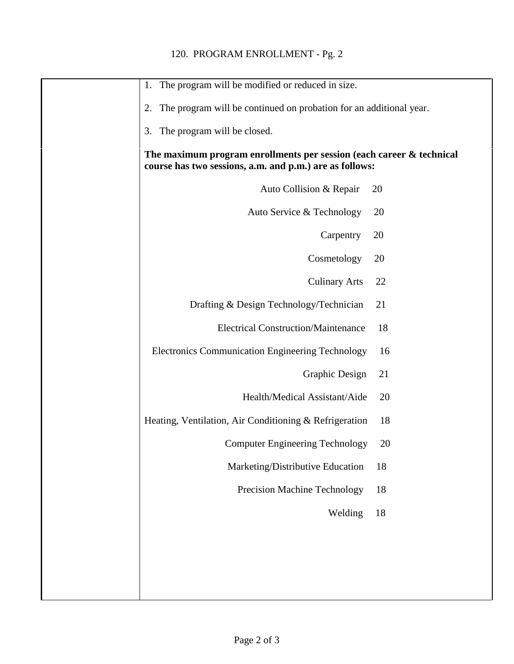| The program will be modified or reduced in size.<br>1.                                                                          |    |
|---------------------------------------------------------------------------------------------------------------------------------|----|
| The program will be continued on probation for an additional year.<br>2.                                                        |    |
| 3.<br>The program will be closed.                                                                                               |    |
| The maximum program enrollments per session (each career & technical<br>course has two sessions, a.m. and p.m.) are as follows: |    |
| Auto Collision & Repair                                                                                                         | 20 |
| Auto Service & Technology                                                                                                       | 20 |
| Carpentry                                                                                                                       | 20 |
| Cosmetology                                                                                                                     | 20 |
| <b>Culinary Arts</b>                                                                                                            | 22 |
| Drafting & Design Technology/Technician                                                                                         | 21 |
| <b>Electrical Construction/Maintenance</b>                                                                                      | 18 |
| <b>Electronics Communication Engineering Technology</b>                                                                         | 16 |
| <b>Graphic Design</b>                                                                                                           | 21 |
| Health/Medical Assistant/Aide                                                                                                   | 20 |
| Heating, Ventilation, Air Conditioning & Refrigeration                                                                          | 18 |
| <b>Computer Engineering Technology</b>                                                                                          | 20 |
| Marketing/Distributive Education                                                                                                | 18 |
| Precision Machine Technology                                                                                                    | 18 |
| Welding                                                                                                                         | 18 |
|                                                                                                                                 |    |
|                                                                                                                                 |    |
|                                                                                                                                 |    |
|                                                                                                                                 |    |